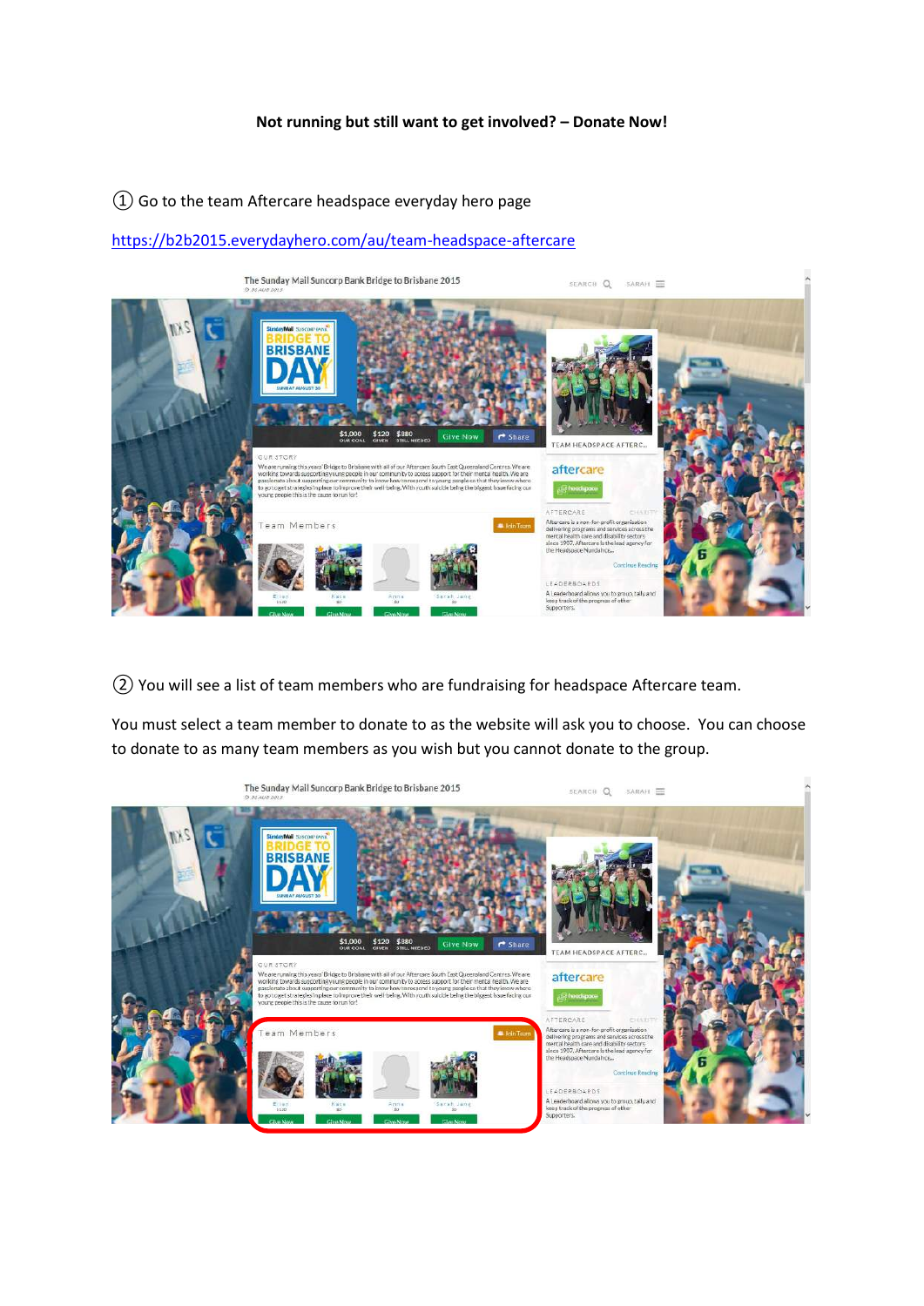## **Not running but still want to get involved? – Donate Now!**

## ① Go to the team Aftercare headspace everyday hero page

## <https://b2b2015.everydayhero.com/au/team-headspace-aftercare>



② You will see a list of team members who are fundraising for headspace Aftercare team.

You must select a team member to donate to as the website will ask you to choose. You can choose to donate to as many team members as you wish but you cannot donate to the group.

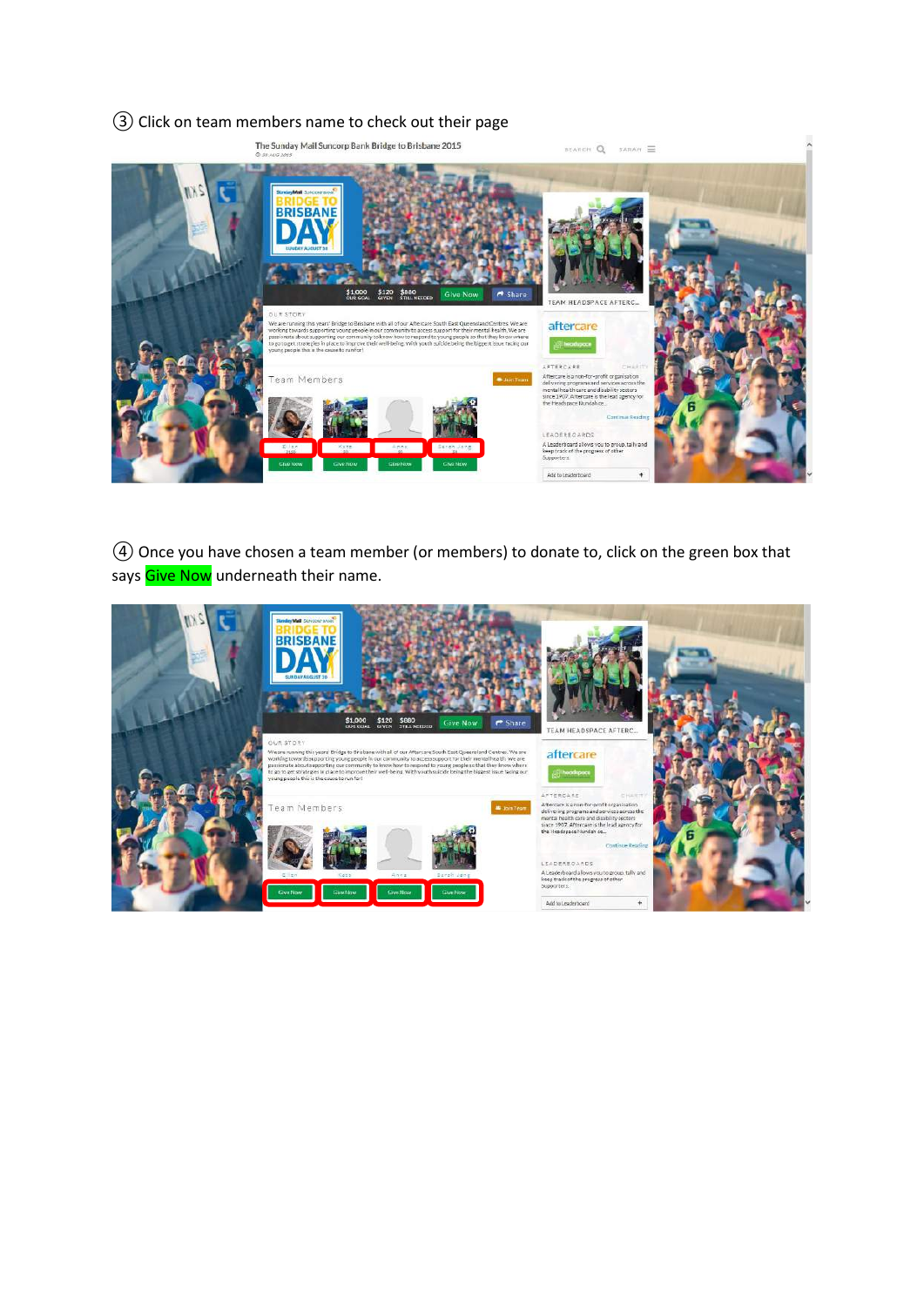## ③ Click on team members name to check out their page



④ Once you have chosen a team member (or members) to donate to, click on the green box that says Give Now underneath their name.

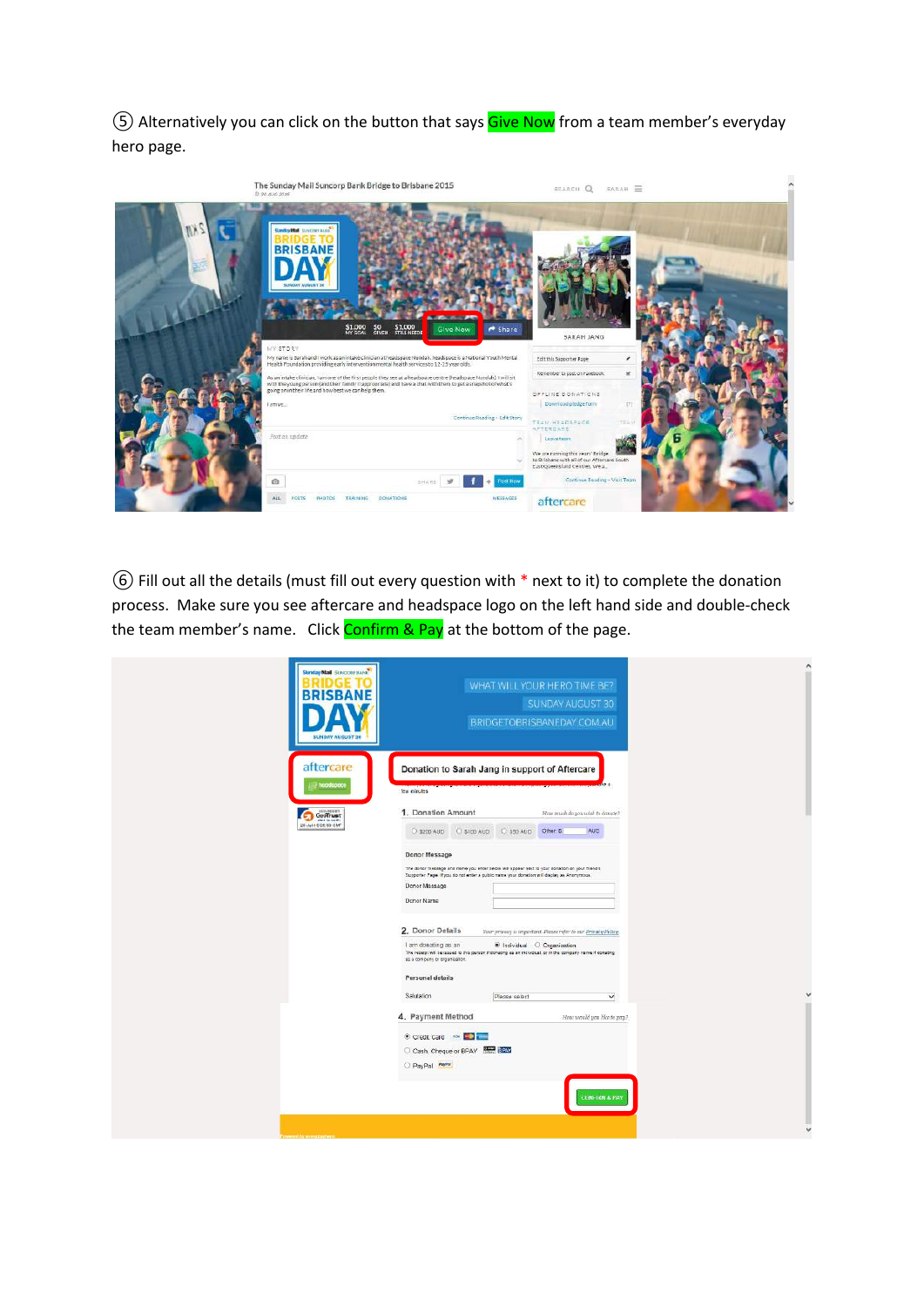⑤ Alternatively you can click on the button that says Give Now from a team member's everyday hero page.

| The Sunday Mail Suncorp Bank Bridge to Brisbane 2015<br>@ 99 AUG 2015                                                                                                                                                                                                                                                                                                                                                                                                                                                                                | SEARCH Q SARAH                                                                                                                                                                                            |  |
|------------------------------------------------------------------------------------------------------------------------------------------------------------------------------------------------------------------------------------------------------------------------------------------------------------------------------------------------------------------------------------------------------------------------------------------------------------------------------------------------------------------------------------------------------|-----------------------------------------------------------------------------------------------------------------------------------------------------------------------------------------------------------|--|
| SindryMall SUNTER BANK<br><b>BRISBANE</b><br><b><i>STACKS COPY</i></b><br>\$1,000 \$0 \$1,000<br>Share<br><b>Give Now</b><br><b>MY STORY</b>                                                                                                                                                                                                                                                                                                                                                                                                         | SARAH JANG                                                                                                                                                                                                |  |
| Ny name is Sarah and I work as an intake clinician at headspace Nundah, headspace is a National Youth Mental<br>Health Foundation providing early intervention mental health services to 12-25 year olds.<br>As an intake clinician, I am one of the first people they see at a headspace centre (headspace Nundab). I will sit<br>with the young person (and their family if appropriate) and have a chat with them to get a snapshot of what's<br>going on in their life and how best we can help them.<br>lamue.<br>Continue Reading - Edit Story | ,<br>Editthis Supporter Page<br>$\overline{\mathbf{x}}$<br>Remember to post on Facebook<br>OFFLINE DONATIONS<br>Download pledge form<br>$\Box$                                                            |  |
| Post an update<br>$\mathcal{P}^{\mathcal{C}}$<br>o<br>$\odot$<br><b>Post Now</b><br>三叶高容主                                                                                                                                                                                                                                                                                                                                                                                                                                                            | TEAM HEADSPACE<br>TEAS<br>AFTERDARE<br>Leave team:<br>We are running this years' Bridge<br>to Brisbane with all of our Aftercare South<br>East Queensland Centres, We a.<br>Continue Reading - Visit Team |  |
| DONATIONS<br>MESSAGES<br>ALL<br><b>TEALMING</b><br>nosts<br>NIOTOS                                                                                                                                                                                                                                                                                                                                                                                                                                                                                   | aftercare                                                                                                                                                                                                 |  |

⑥ Fill out all the details (must fill out every question with \* next to it) to complete the donation process. Make sure you see aftercare and headspace logo on the left hand side and double-check the team member's name. Click Confirm & Pay at the bottom of the page.

| Sunday Mail Sundoar sand<br><b>RRISRAN</b><br><b>SUNOAY AUGUST 30</b> | WHAT WILL YOUR HERO TIME BE?<br>SUNDAY AUGUST 30<br>BRIDGETOBRISBANEDAY.COM.AU                                                                                                                                                                                                          |
|-----------------------------------------------------------------------|-----------------------------------------------------------------------------------------------------------------------------------------------------------------------------------------------------------------------------------------------------------------------------------------|
| aftercare<br>hoodspoce                                                | Donation to Sarah Jang in support of Aftercare<br>few minutes                                                                                                                                                                                                                           |
| Goodhust<br>2010/01/01/02/01                                          | 1. Donation Amount<br>How much do you wish to dangle?<br>C \$100 AUD C \$50 AUD Other &<br><b>AUD</b><br><b>C 3200 AUD</b>                                                                                                                                                              |
|                                                                       | Donor Message<br>The donor measage and name you enter below will appear next to your donation on your friend's<br>Supporter Page. If you do not enter a public mane your donation will display as Anonymous.<br>Donor Massage<br>Donor Name                                             |
|                                                                       | 2. Donor Details<br>Vour privacy is important. Please refer to our Privacy Policy.<br>I am donating as an<br>C Individual O Organisation<br>The receipt will be leased to this person if donating as an individual, or in the company name if donating<br>as a company or organisation. |
|                                                                       | Personal details<br>Salutation<br>$\checkmark$<br>Please select                                                                                                                                                                                                                         |
|                                                                       | 4. Payment Method<br>How would you like to pay?                                                                                                                                                                                                                                         |
|                                                                       | Credit Card es <b>Card</b><br>Clash, Cheque or BPAY<br>O PayPal                                                                                                                                                                                                                         |
|                                                                       | <b>CONFIRM &amp; PAY</b>                                                                                                                                                                                                                                                                |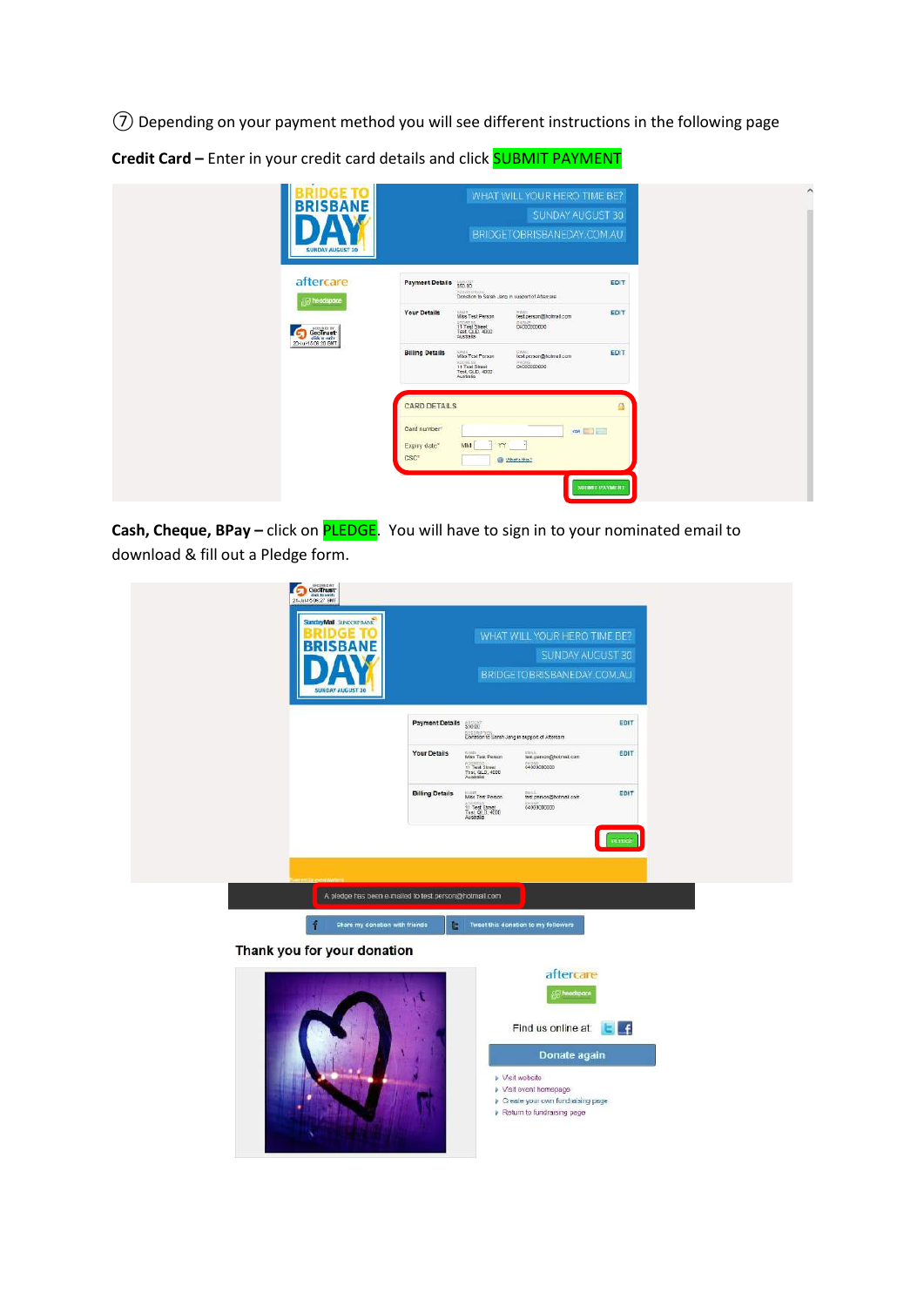⑦ Depending on your payment method you will see different instructions in the following page

**Credit Card –** Enter in your credit card details and click SUBMIT PAYMENT

| <b>BRISBANE</b><br><b>SUNDAY AUGUST 30</b>  | WHAT WILL YOUR HERO TIME BE?<br>SUNDAY AUGUST 30<br>BRIDGETOBRISBANEDAY.COM.AU                                                                                      |
|---------------------------------------------|---------------------------------------------------------------------------------------------------------------------------------------------------------------------|
| aftercare<br><b>All headspace</b>           | <b>Payment Details</b><br>EDIT<br>950.00<br>Districtions<br>Closedon to Sarah Jang in support of Aftercare                                                          |
| <b>GeoTrust</b><br>75<br>20-Jul-1506.20 BMT | <b>Your Details</b><br>EDIT<br><b>Miss Test Person</b><br>water.<br>test.person@hotmail.com<br>04000000000<br>Appears<br>11 Test Sheet<br>Test, QLD, 4000<br>Astala |
|                                             | <b>Billing Details</b><br>EDIT<br>Mas Test Person<br>test person@hotmail.com<br>Account of<br>midag<br>04000000000<br>Test CLD, 4000<br>Australia                   |
|                                             | <b>CARD DETAILS</b><br>⋒                                                                                                                                            |
|                                             | Card number!<br><b>MARITED</b><br>$\overline{1}$<br>YY<br>MM<br>Expiry date <sup>x</sup><br>CSC <sup>-</sup><br><b>B</b> What's this?                               |
|                                             | <b>SUBMIT PAYMENT</b>                                                                                                                                               |

**Cash, Cheque, BPay** – click on **PLEDGE**. You will have to sign in to your nominated email to download & fill out a Pledge form.

| GeoTrust<br>20-Jul-15 06:27 GMT<br>StandayMail SUNCORP BANK |                        |                                                                               | WHAT WILL YOUR HERO TIME BE?                   |              |
|-------------------------------------------------------------|------------------------|-------------------------------------------------------------------------------|------------------------------------------------|--------------|
| <b>BRISBANE</b>                                             |                        |                                                                               | SUNDAY AUGUST 30<br>BRIDGETOBRISBANEDAY.COM.AU |              |
|                                                             | <b>Payment Details</b> | 490087<br><b>DESORPTION</b><br>Donation to Serah Jang in support of Aftercare |                                                | EDIT         |
|                                                             | <b>Your Details</b>    | Miss Test Person<br>11 Text Street<br>Test, QLD, 4000<br>Assnalia             | sunt<br>Natiparaon@hotmail.com<br>0400000000   | EDIT         |
|                                                             | <b>Billing Details</b> | Miss Test Person<br>11 Test Street<br>Test, QLD, 4000<br>Australia            | test person@hotmail.com<br>0400000000          | EDIT         |
|                                                             |                        |                                                                               |                                                | PLEDGE       |
| A pledge has been e-mailed to test person@hotmail.com       |                        |                                                                               |                                                |              |
| Share my donation with friends                              | Ŀ.                     |                                                                               | Tweet this donation to my followers            |              |
| Thank you for your donation                                 |                        |                                                                               |                                                |              |
|                                                             |                        |                                                                               | aftercare<br>(IF) headspace                    |              |
|                                                             |                        |                                                                               | Find us online at:                             | $\mathbf{f}$ |

- » Visit wohsite
- 
- Privish website<br>
Privish event homepage<br>
Privished and fundraising page<br>
Privished fundraising page

Donate again